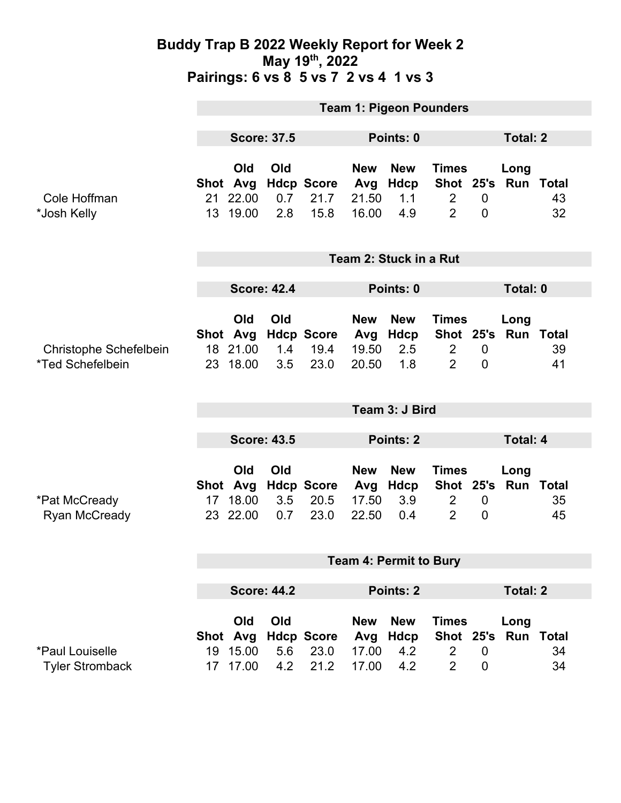### **Buddy Trap B 2022 Weekly Report for Week 2 May 19th, 2022 Pairings: 6 vs 8 5 vs 7 2 vs 4 1 vs 3**

|                                                          | <b>Team 1: Pigeon Pounders</b> |                                         |                   |                                   |                                     |                                         |                                                  |                                    |                             |          |  |
|----------------------------------------------------------|--------------------------------|-----------------------------------------|-------------------|-----------------------------------|-------------------------------------|-----------------------------------------|--------------------------------------------------|------------------------------------|-----------------------------|----------|--|
|                                                          | <b>Score: 37.5</b>             |                                         |                   | Points: 0                         |                                     |                                         |                                                  | <b>Total: 2</b>                    |                             |          |  |
| Cole Hoffman<br>*Josh Kelly                              |                                | Old<br>Shot Avg<br>21 22.00<br>13 19.00 | Old<br>0.7<br>2.8 | <b>Hdcp Score</b><br>21.7<br>15.8 | <b>New</b><br>Avg<br>21.50<br>16.00 | <b>New</b><br>Hdcp<br>1.1<br>4.9        | <b>Times</b><br>$\overline{2}$<br>$\overline{2}$ | $\mathbf 0$<br>$\overline{0}$      | Long<br>Shot 25's Run Total | 43<br>32 |  |
|                                                          | Team 2: Stuck in a Rut         |                                         |                   |                                   |                                     |                                         |                                                  |                                    |                             |          |  |
|                                                          | <b>Score: 42.4</b>             |                                         |                   |                                   | Points: 0                           |                                         |                                                  |                                    | Total: 0                    |          |  |
| Christophe Schefelbein<br><i><b>*Ted Schefelbein</b></i> |                                | Old<br>Shot Avg<br>18 21.00<br>23 18.00 | Old<br>1.4<br>3.5 | <b>Hdcp Score</b><br>19.4<br>23.0 | <b>New</b><br>Avg<br>19.50<br>20.50 | <b>New</b><br>Hdcp<br>2.5<br>1.8        | <b>Times</b><br>$\overline{2}$<br>$\overline{2}$ | $\mathbf 0$<br>$\mathbf 0$         | Long<br>Shot 25's Run Total | 39<br>41 |  |
|                                                          | Team 3: J Bird                 |                                         |                   |                                   |                                     |                                         |                                                  |                                    |                             |          |  |
|                                                          | <b>Score: 43.5</b>             |                                         |                   |                                   | <b>Points: 2</b>                    |                                         |                                                  |                                    | <b>Total: 4</b>             |          |  |
| *Pat McCready<br><b>Ryan McCready</b>                    | 17                             | Old<br>Shot Avg<br>18.00<br>23 22.00    | Old<br>3.5<br>0.7 | <b>Hdcp Score</b><br>20.5<br>23.0 | <b>New</b><br>Avg<br>17.50<br>22.50 | <b>New</b><br><b>Hdcp</b><br>3.9<br>0.4 | <b>Times</b><br>$\overline{2}$<br>$\overline{2}$ | $\boldsymbol{0}$<br>$\overline{0}$ | Long<br>Shot 25's Run Total | 35<br>45 |  |
|                                                          | <b>Team 4: Permit to Bury</b>  |                                         |                   |                                   |                                     |                                         |                                                  |                                    |                             |          |  |
|                                                          | <b>Score: 44.2</b>             |                                         |                   | Points: 2                         |                                     |                                         |                                                  |                                    | <b>Total: 2</b>             |          |  |
| *Paul Louiselle<br><b>Tyler Stromback</b>                | 19<br>17                       | Old<br>Shot Avg<br>15.00<br>17.00       | Old<br>5.6<br>4.2 | <b>Hdcp Score</b><br>23.0<br>21.2 | <b>New</b><br>Avg<br>17.00<br>17.00 | <b>New</b><br><b>Hdcp</b><br>4.2<br>4.2 | <b>Times</b><br>$\overline{2}$<br>$\overline{2}$ | $\mathbf 0$<br>0                   | Long<br>Shot 25's Run Total | 34<br>34 |  |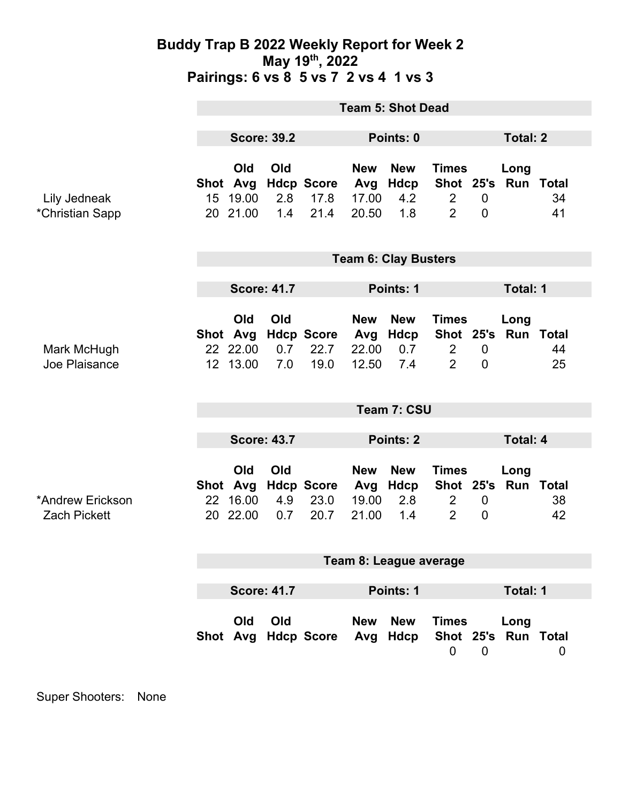### **Buddy Trap B 2022 Weekly Report for Week 2 May 19th, 2022 Pairings: 6 vs 8 5 vs 7 2 vs 4 1 vs 3**

|                                         | <b>Team 5: Shot Dead</b>        |                                         |                   |                                   |                                     |                                  |                                                               |                                  |                             |          |  |
|-----------------------------------------|---------------------------------|-----------------------------------------|-------------------|-----------------------------------|-------------------------------------|----------------------------------|---------------------------------------------------------------|----------------------------------|-----------------------------|----------|--|
|                                         | <b>Score: 39.2</b>              |                                         |                   | Points: 0                         |                                     |                                  | <b>Total: 2</b>                                               |                                  |                             |          |  |
| Lily Jedneak<br>*Christian Sapp         | 20                              | Old<br>Shot Avg<br>15 19.00<br>21.00    | Old<br>2.8<br>1.4 | <b>Hdcp Score</b><br>17.8<br>21.4 | <b>New</b><br>Avg<br>17.00<br>20.50 | <b>New</b><br>Hdcp<br>4.2<br>1.8 | <b>Times</b><br>$\overline{2}$<br>$\overline{2}$              | $\mathbf 0$<br>$\mathbf 0$       | Long<br>Shot 25's Run Total | 34<br>41 |  |
|                                         | <b>Team 6: Clay Busters</b>     |                                         |                   |                                   |                                     |                                  |                                                               |                                  |                             |          |  |
|                                         | <b>Score: 41.7</b>              |                                         |                   | Points: 1                         |                                     |                                  | Total: 1                                                      |                                  |                             |          |  |
| Mark McHugh<br>Joe Plaisance            |                                 | Old<br>Shot Avg<br>22 22.00<br>12 13.00 | Old<br>0.7<br>7.0 | <b>Hdcp Score</b><br>22.7<br>19.0 | <b>New</b><br>Avg<br>22.00<br>12.50 | <b>New</b><br>Hdcp<br>0.7<br>7.4 | <b>Times</b><br>Shot 25's<br>$\overline{2}$<br>$\overline{2}$ | $\overline{0}$<br>$\overline{0}$ | Long<br><b>Run Total</b>    | 44<br>25 |  |
|                                         | Team 7: CSU                     |                                         |                   |                                   |                                     |                                  |                                                               |                                  |                             |          |  |
|                                         | <b>Score: 43.7</b>              |                                         |                   |                                   | <b>Points: 2</b>                    |                                  |                                                               | <b>Total: 4</b>                  |                             |          |  |
| *Andrew Erickson<br><b>Zach Pickett</b> |                                 | Old<br>Shot Avg<br>22 16.00<br>20 22.00 | Old<br>4.9<br>0.7 | <b>Hdcp Score</b><br>23.0<br>20.7 | <b>New</b><br>Avg<br>19.00<br>21.00 | <b>New</b><br>Hdcp<br>2.8<br>1.4 | <b>Times</b><br>$\overline{2}$<br>$\overline{2}$              | $\boldsymbol{0}$<br>$\mathbf 0$  | Long<br>Shot 25's Run Total | 38<br>42 |  |
|                                         | Team 8: League average          |                                         |                   |                                   |                                     |                                  |                                                               |                                  |                             |          |  |
|                                         | <b>Score: 41.7</b><br>Points: 1 |                                         |                   |                                   |                                     |                                  |                                                               | Total: 1                         |                             |          |  |
|                                         |                                 | Old                                     | Old               | Shot Avg Hdcp Score               | <b>New</b><br>Avg                   | <b>New</b><br>Hdcp               | <b>Times</b><br>$\mathbf 0$                                   | $\mathbf 0$                      | Long<br>Shot 25's Run Total | 0        |  |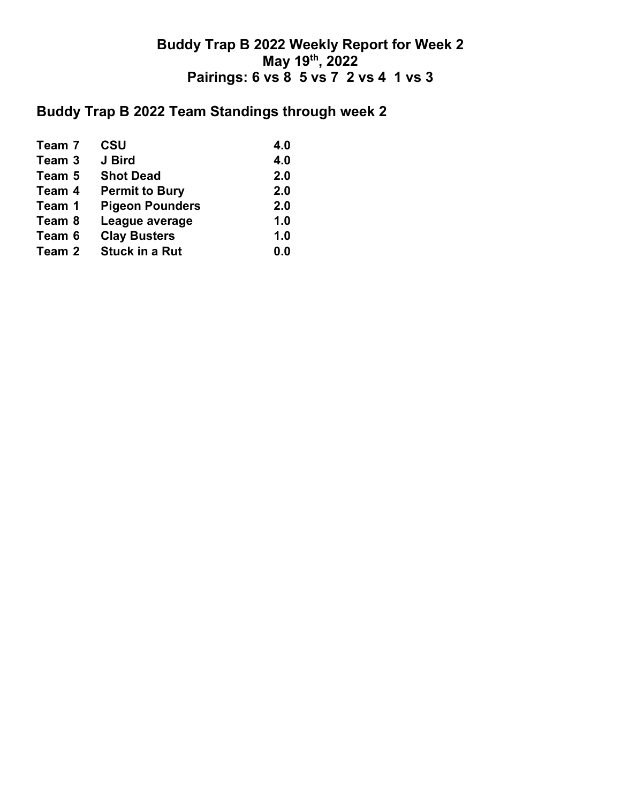## **Buddy Trap B 2022 Weekly Report for Week 2 May 19th, 2022 Pairings: 6 vs 8 5 vs 7 2 vs 4 1 vs 3**

# **Buddy Trap B 2022 Team Standings through week 2**

| Team 7 | <b>CSU</b>             | 4.0 |
|--------|------------------------|-----|
| Team 3 | J Bird                 | 4.0 |
| Team 5 | <b>Shot Dead</b>       | 2.0 |
| Team 4 | <b>Permit to Bury</b>  | 2.0 |
| Team 1 | <b>Pigeon Pounders</b> | 2.0 |
| Team 8 | League average         | 1.0 |
| Team 6 | <b>Clay Busters</b>    | 1.0 |
| Team 2 | <b>Stuck in a Rut</b>  | 0.0 |
|        |                        |     |